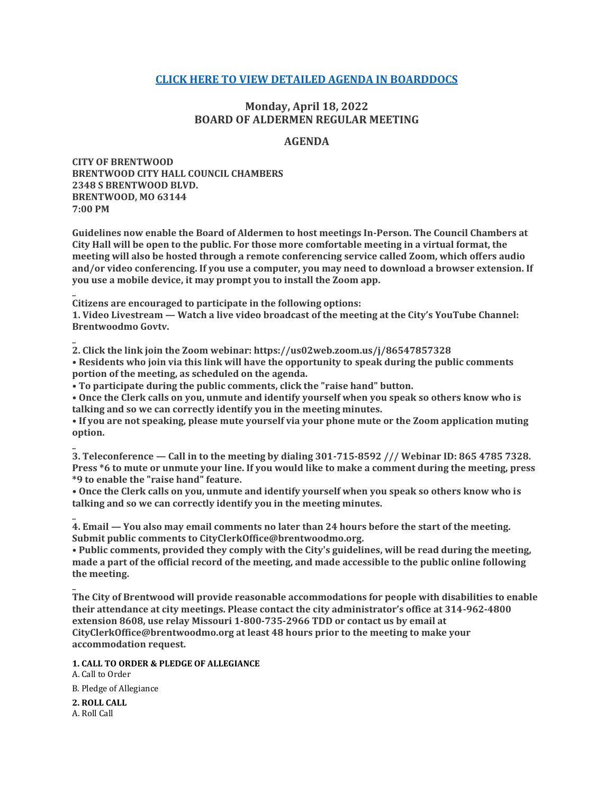## **[CLICK HERE TO VIEW DETAILED AGENDA IN BOARDDOCS](http://go.boarddocs.com/mo/cob/Board.nsf/goto?open&id=CCKLG2566E01)**

# **Monday, April 18, 2022 BOARD OF ALDERMEN REGULAR MEETING**

### **AGENDA**

**CITY OF BRENTWOOD BRENTWOOD CITY HALL COUNCIL CHAMBERS 2348 S BRENTWOOD BLVD. BRENTWOOD, MO 63144 7:00 PM**

**Guidelines now enable the Board of Aldermen to host meetings In-Person. The Council Chambers at City Hall will be open to the public. For those more comfortable meeting in a virtual format, the meeting will also be hosted through a remote conferencing service called Zoom, which offers audio and/or video conferencing. If you use a computer, you may need to download a browser extension. If you use a mobile device, it may prompt you to install the Zoom app.**

**Citizens are encouraged to participate in the following options:**

**1. Video Livestream — Watch a live video broadcast of the meeting at the City's YouTube Channel: Brentwoodmo Govtv.**

**2. Click the link join the Zoom webinar: https://us02web.zoom.us/j/86547857328 • Residents who join via this link will have the opportunity to speak during the public comments portion of the meeting, as scheduled on the agenda.**

**• To participate during the public comments, click the "raise hand" button.**

**• Once the Clerk calls on you, unmute and identify yourself when you speak so others know who is talking and so we can correctly identify you in the meeting minutes.**

**• If you are not speaking, please mute yourself via your phone mute or the Zoom application muting option.**

**3. Teleconference — Call in to the meeting by dialing 301-715-8592 /// Webinar ID: 865 4785 7328. Press \*6 to mute or unmute your line. If you would like to make a comment during the meeting, press \*9 to enable the "raise hand" feature.**

**• Once the Clerk calls on you, unmute and identify yourself when you speak so others know who is talking and so we can correctly identify you in the meeting minutes.**

**4. Email — You also may email comments no later than 24 hours before the start of the meeting. Submit public comments to CityClerkOffice@brentwoodmo.org.**

**• Public comments, provided they comply with the City's guidelines, will be read during the meeting, made a part of the official record of the meeting, and made accessible to the public online following the meeting.**

**The City of Brentwood will provide reasonable accommodations for people with disabilities to enable their attendance at city meetings. Please contact the city administrator's office at 314-962-4800 extension 8608, use relay Missouri 1-800-735-2966 TDD or contact us by email at CityClerkOffice@brentwoodmo.org at least 48 hours prior to the meeting to make your accommodation request.**

**1. CALL TO ORDER & PLEDGE OF ALLEGIANCE**

A. Call to Order B. Pledge of Allegiance

**2. ROLL CALL** A. Roll Call

**\_**

**\_**

**\_**

**\_**

**\_**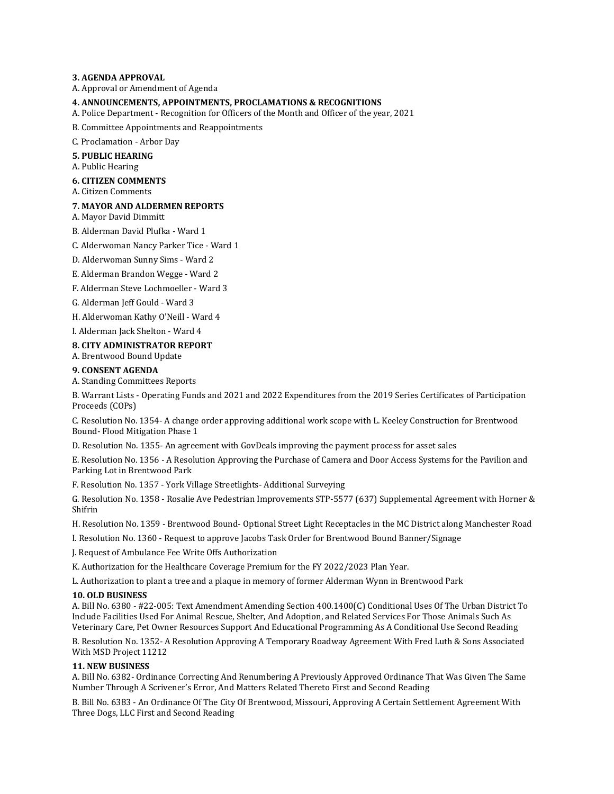#### **3. AGENDA APPROVAL**

A. Approval or Amendment of Agenda

#### **4. ANNOUNCEMENTS, APPOINTMENTS, PROCLAMATIONS & RECOGNITIONS**

A. Police Department - Recognition for Officers of the Month and Officer of the year, 2021

B. Committee Appointments and Reappointments

C. Proclamation - Arbor Day

#### **5. PUBLIC HEARING**

A. Public Hearing

### **6. CITIZEN COMMENTS**

A. Citizen Comments

#### **7. MAYOR AND ALDERMEN REPORTS**

A. Mayor David Dimmitt

B. Alderman David Plufka - Ward 1

C. Alderwoman Nancy Parker Tice - Ward 1

- D. Alderwoman Sunny Sims Ward 2
- E. Alderman Brandon Wegge Ward 2

F. Alderman Steve Lochmoeller - Ward 3

G. Alderman Jeff Gould - Ward 3

H. Alderwoman Kathy O'Neill - Ward 4

I. Alderman Jack Shelton - Ward 4

#### **8. CITY ADMINISTRATOR REPORT**

A. Brentwood Bound Update

#### **9. CONSENT AGENDA**

A. Standing Committees Reports

B. Warrant Lists - Operating Funds and 2021 and 2022 Expenditures from the 2019 Series Certificates of Participation Proceeds (COPs)

C. Resolution No. 1354- A change order approving additional work scope with L. Keeley Construction for Brentwood Bound- Flood Mitigation Phase 1

D. Resolution No. 1355- An agreement with GovDeals improving the payment process for asset sales

E. Resolution No. 1356 - A Resolution Approving the Purchase of Camera and Door Access Systems for the Pavilion and Parking Lot in Brentwood Park

F. Resolution No. 1357 - York Village Streetlights- Additional Surveying

G. Resolution No. 1358 - Rosalie Ave Pedestrian Improvements STP-5577 (637) Supplemental Agreement with Horner & Shifrin

H. Resolution No. 1359 - Brentwood Bound- Optional Street Light Receptacles in the MC District along Manchester Road

I. Resolution No. 1360 - Request to approve Jacobs Task Order for Brentwood Bound Banner/Signage

J. Request of Ambulance Fee Write Offs Authorization

K. Authorization for the Healthcare Coverage Premium for the FY 2022/2023 Plan Year.

L. Authorization to plant a tree and a plaque in memory of former Alderman Wynn in Brentwood Park

#### **10. OLD BUSINESS**

A. Bill No. 6380 - #22-005: Text Amendment Amending Section 400.1400(C) Conditional Uses Of The Urban District To Include Facilities Used For Animal Rescue, Shelter, And Adoption, and Related Services For Those Animals Such As Veterinary Care, Pet Owner Resources Support And Educational Programming As A Conditional Use Second Reading

B. Resolution No. 1352- A Resolution Approving A Temporary Roadway Agreement With Fred Luth & Sons Associated With MSD Project 11212

#### **11. NEW BUSINESS**

A. Bill No. 6382- Ordinance Correcting And Renumbering A Previously Approved Ordinance That Was Given The Same Number Through A Scrivener's Error, And Matters Related Thereto First and Second Reading

B. Bill No. 6383 - An Ordinance Of The City Of Brentwood, Missouri, Approving A Certain Settlement Agreement With Three Dogs, LLC First and Second Reading